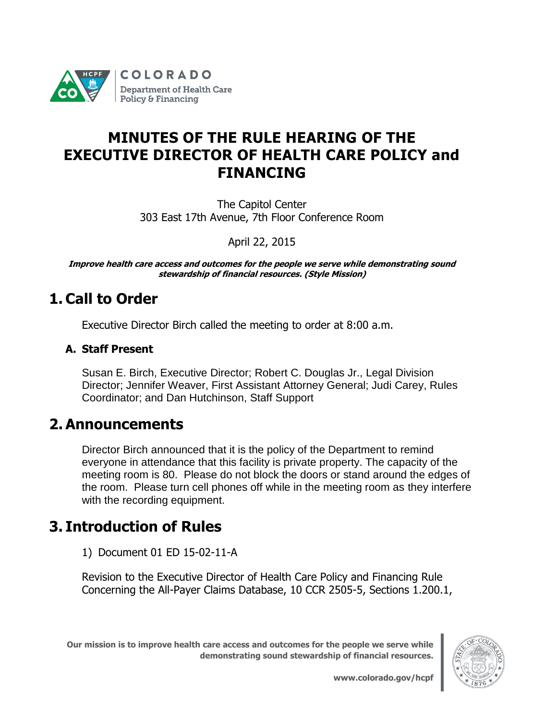

## **MINUTES OF THE RULE HEARING OF THE EXECUTIVE DIRECTOR OF HEALTH CARE POLICY and FINANCING**

The Capitol Center 303 East 17th Avenue, 7th Floor Conference Room

April 22, 2015

**Improve health care access and outcomes for the people we serve while demonstrating sound stewardship of financial resources. (Style Mission)**

# **1. Call to Order**

Executive Director Birch called the meeting to order at 8:00 a.m.

#### **A. Staff Present**

Susan E. Birch, Executive Director; Robert C. Douglas Jr., Legal Division Director; Jennifer Weaver, First Assistant Attorney General; Judi Carey, Rules Coordinator; and Dan Hutchinson, Staff Support

#### **2. Announcements**

Director Birch announced that it is the policy of the Department to remind everyone in attendance that this facility is private property. The capacity of the meeting room is 80. Please do not block the doors or stand around the edges of the room. Please turn cell phones off while in the meeting room as they interfere with the recording equipment.

## **3. Introduction of Rules**

1) Document 01 ED 15-02-11-A

Revision to the Executive Director of Health Care Policy and Financing Rule Concerning the All-Payer Claims Database, 10 CCR 2505-5, Sections 1.200.1,

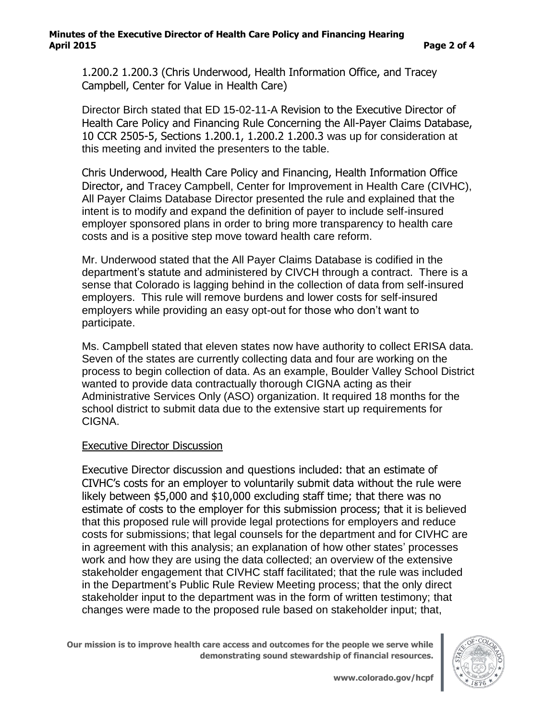1.200.2 1.200.3 (Chris Underwood, Health Information Office, and Tracey Campbell, Center for Value in Health Care)

Director Birch stated that ED 15-02-11-A Revision to the Executive Director of Health Care Policy and Financing Rule Concerning the All-Payer Claims Database, 10 CCR 2505-5, Sections 1.200.1, 1.200.2 1.200.3 was up for consideration at this meeting and invited the presenters to the table.

Chris Underwood, Health Care Policy and Financing, Health Information Office Director, and Tracey Campbell, Center for Improvement in Health Care (CIVHC), All Payer Claims Database Director presented the rule and explained that the intent is to modify and expand the definition of payer to include self-insured employer sponsored plans in order to bring more transparency to health care costs and is a positive step move toward health care reform.

Mr. Underwood stated that the All Payer Claims Database is codified in the department's statute and administered by CIVCH through a contract. There is a sense that Colorado is lagging behind in the collection of data from self-insured employers. This rule will remove burdens and lower costs for self-insured employers while providing an easy opt-out for those who don't want to participate.

Ms. Campbell stated that eleven states now have authority to collect ERISA data. Seven of the states are currently collecting data and four are working on the process to begin collection of data. As an example, Boulder Valley School District wanted to provide data contractually thorough CIGNA acting as their Administrative Services Only (ASO) organization. It required 18 months for the school district to submit data due to the extensive start up requirements for CIGNA.

#### Executive Director Discussion

Executive Director discussion and questions included: that an estimate of CIVHC's costs for an employer to voluntarily submit data without the rule were likely between \$5,000 and \$10,000 excluding staff time; that there was no estimate of costs to the employer for this submission process; that it is believed that this proposed rule will provide legal protections for employers and reduce costs for submissions; that legal counsels for the department and for CIVHC are in agreement with this analysis; an explanation of how other states' processes work and how they are using the data collected; an overview of the extensive stakeholder engagement that CIVHC staff facilitated; that the rule was included in the Department's Public Rule Review Meeting process; that the only direct stakeholder input to the department was in the form of written testimony; that changes were made to the proposed rule based on stakeholder input; that,

**Our mission is to improve health care access and outcomes for the people we serve while demonstrating sound stewardship of financial resources.**

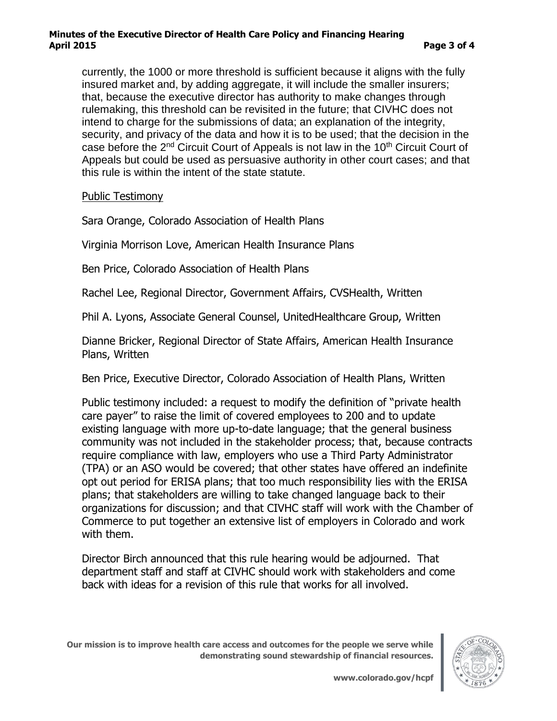#### **Minutes of the Executive Director of Health Care Policy and Financing Hearing April 2015 Page 3 of 4**

currently, the 1000 or more threshold is sufficient because it aligns with the fully insured market and, by adding aggregate, it will include the smaller insurers; that, because the executive director has authority to make changes through rulemaking, this threshold can be revisited in the future; that CIVHC does not intend to charge for the submissions of data; an explanation of the integrity, security, and privacy of the data and how it is to be used; that the decision in the case before the 2<sup>nd</sup> Circuit Court of Appeals is not law in the 10<sup>th</sup> Circuit Court of Appeals but could be used as persuasive authority in other court cases; and that this rule is within the intent of the state statute.

Public Testimony

Sara Orange, Colorado Association of Health Plans

Virginia Morrison Love, American Health Insurance Plans

Ben Price, Colorado Association of Health Plans

Rachel Lee, Regional Director, Government Affairs, CVSHealth, Written

Phil A. Lyons, Associate General Counsel, UnitedHealthcare Group, Written

Dianne Bricker, Regional Director of State Affairs, American Health Insurance Plans, Written

Ben Price, Executive Director, Colorado Association of Health Plans, Written

Public testimony included: a request to modify the definition of "private health care payer" to raise the limit of covered employees to 200 and to update existing language with more up-to-date language; that the general business community was not included in the stakeholder process; that, because contracts require compliance with law, employers who use a Third Party Administrator (TPA) or an ASO would be covered; that other states have offered an indefinite opt out period for ERISA plans; that too much responsibility lies with the ERISA plans; that stakeholders are willing to take changed language back to their organizations for discussion; and that CIVHC staff will work with the Chamber of Commerce to put together an extensive list of employers in Colorado and work with them.

Director Birch announced that this rule hearing would be adjourned. That department staff and staff at CIVHC should work with stakeholders and come back with ideas for a revision of this rule that works for all involved.